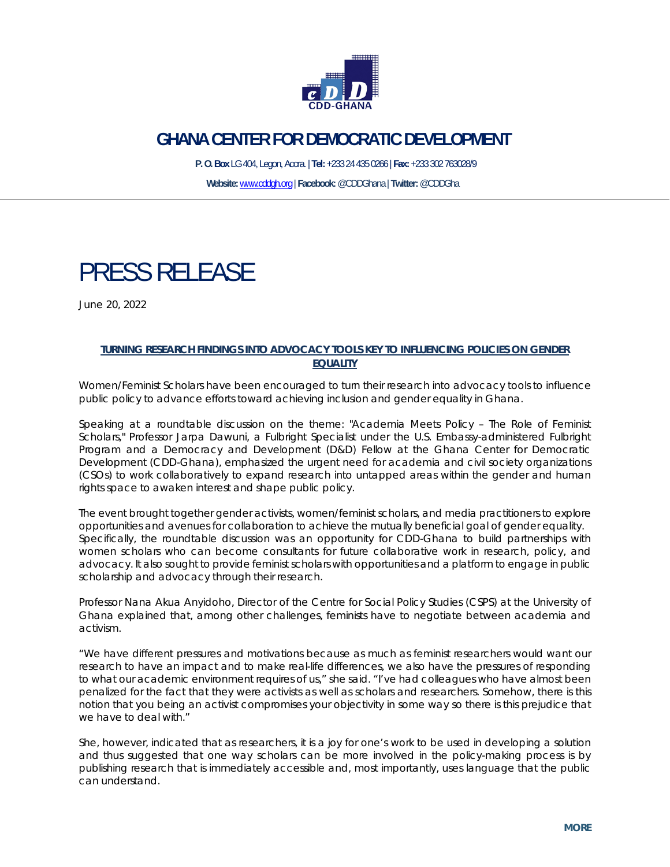

# **GHANA CENTER FOR DEMOCRATIC DEVELOPMENT**

 **P. O. Box** LG 404, Legon, Accra. | **Tel:** +233 24 435 0266 | **Fax:** +233 302 763028/9 **Website:** www.cddgh.org | **Facebook:** @CDDGhana | **Twitter:** @CDDGha

# PRESS RELEASE

June 20, 2022

## **TURNING RESEARCH FINDINGS INTO ADVOCACY TOOLS KEY TO INFLUENCING POLICIES ON GENDER EQUALITY**

Women/Feminist Scholars have been encouraged to turn their research into advocacy tools to influence public policy to advance efforts toward achieving inclusion and gender equality in Ghana.

Speaking at a roundtable discussion on the theme: "Academia Meets Policy – The Role of Feminist Scholars," Professor Jarpa Dawuni, a Fulbright Specialist under the U.S. Embassy-administered Fulbright Program and a Democracy and Development (D&D) Fellow at the Ghana Center for Democratic Development (CDD-Ghana), emphasized the urgent need for academia and civil society organizations (CSOs) to work collaboratively to expand research into untapped areas within the gender and human rights space to awaken interest and shape public policy.

The event brought together gender activists, women/feminist scholars, and media practitioners to explore opportunities and avenues for collaboration to achieve the mutually beneficial goal of gender equality. Specifically, the roundtable discussion was an opportunity for CDD-Ghana to build partnerships with women scholars who can become consultants for future collaborative work in research, policy, and advocacy. It also sought to provide feminist scholars with opportunities and a platform to engage in public scholarship and advocacy through their research.

Professor Nana Akua Anyidoho, Director of the Centre for Social Policy Studies (CSPS) at the University of Ghana explained that, among other challenges, feminists have to negotiate between academia and activism.

"We have different pressures and motivations because as much as feminist researchers would want our research to have an impact and to make real-life differences, we also have the pressures of responding to what our academic environment requires of us," she said. "I've had colleagues who have almost been penalized for the fact that they were activists as well as scholars and researchers. Somehow, there is this notion that you being an activist compromises your objectivity in some way so there is this prejudice that we have to deal with."

She, however, indicated that as researchers, it is a joy for one's work to be used in developing a solution and thus suggested that one way scholars can be more involved in the policy-making process is by publishing research that is immediately accessible and, most importantly, uses language that the public can understand.